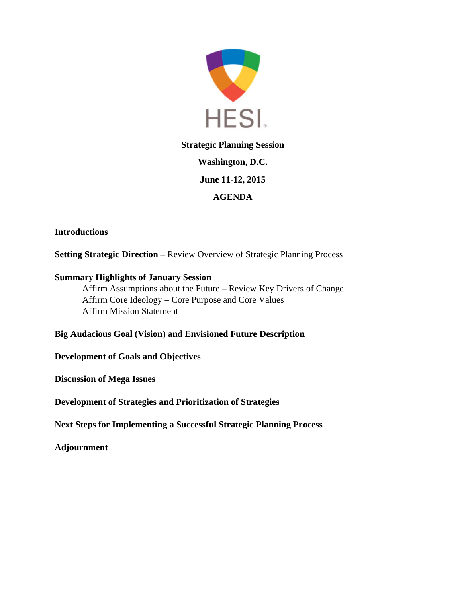

# **Strategic Planning Session Washington, D.C. June 11-12, 2015 AGENDA**

# **Introductions**

**Setting Strategic Direction** – Review Overview of Strategic Planning Process

# **Summary Highlights of January Session**

Affirm Assumptions about the Future – Review Key Drivers of Change Affirm Core Ideology – Core Purpose and Core Values Affirm Mission Statement

# **Big Audacious Goal (Vision) and Envisioned Future Description**

# **Development of Goals and Objectives**

**Discussion of Mega Issues** 

**Development of Strategies and Prioritization of Strategies** 

**Next Steps for Implementing a Successful Strategic Planning Process** 

# **Adjournment**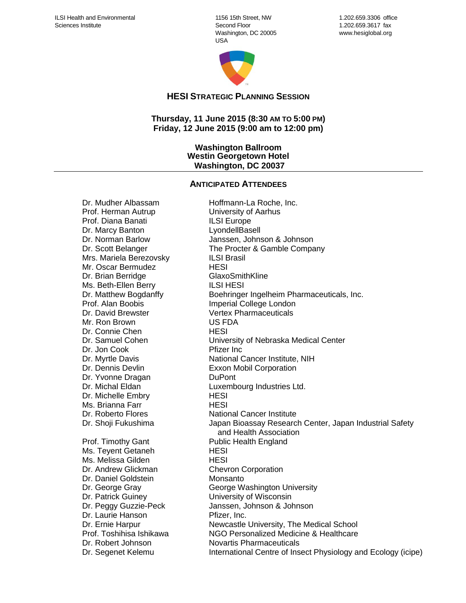1156 15th Street, NW Second Floor Washington, DC 20005 USA



1.202.659.3306 office 1.202.659.3617 fax www.hesiglobal.org

**HESI STRATEGIC PLANNING SESSION**

**Thursday, 11 June 2015 (8:30 AM TO 5:00 PM) Friday, 12 June 2015 (9:00 am to 12:00 pm)**

#### **Washington Ballroom Westin Georgetown Hotel Washington, DC 20037**

#### **ANTICIPATED ATTENDEES**

Prof. Herman Autrup University of Aarhus Prof. Diana Banati **ILSI** Europe Dr. Marcy Banton LyondellBasell Mrs. Mariela Berezovsky **ILSI Brasil** Mr. Oscar Bermudez HESI Dr. Brian Berridge GlaxoSmithKline Ms. Beth-Ellen Berry ILSI HESI Dr. David Brewster Vertex Pharmaceuticals Mr. Ron Brown US FDA Dr. Connie Chen HESI Dr. Jon Cook Pfizer Inc Dr. Yvonne Dragan DuPont Dr. Michelle Embry HESI Ms. Brianna Farr **HESI** Prof. Timothy Gant Public Health England Ms. Teyent Getaneh HESI Ms. Melissa Gilden Nessetti HESI Dr. Andrew Glickman Chevron Corporation Dr. Daniel Goldstein Monsanto Dr. Patrick Guiney **Example 20** University of Wisconsin Dr. Laurie Hanson **Pfizer**, Inc. Dr. Segenet Kelemu **International Centre of Insect Physiology and Ecology (icipe)** 

Dr. Mudher Albassam Boltomann-La Roche, Inc. Dr. Norman Barlow Janssen, Johnson & Johnson Dr. Scott Belanger The Procter & Gamble Company Dr. Matthew Bogdanffy Boehringer Ingelheim Pharmaceuticals, Inc. Prof. Alan Boobis Imperial College London Dr. Samuel Cohen University of Nebraska Medical Center Dr. Myrtle Davis National Cancer Institute, NIH Dr. Dennis Devlin **Exxon Mobil Corporation** Dr. Michal Eldan Luxembourg Industries Ltd. Dr. Roberto Flores National Cancer Institute Dr. Shoji Fukushima **Japan Bioassay Research Center, Japan Industrial Safety**  and Health Association Dr. George Gray George Washington University Dr. Peggy Guzzie-Peck Janssen, Johnson & Johnson Dr. Ernie Harpur **Newcastle University, The Medical School** Prof. Toshihisa Ishikawa NGO Personalized Medicine & Healthcare Dr. Robert Johnson Novartis Pharmaceuticals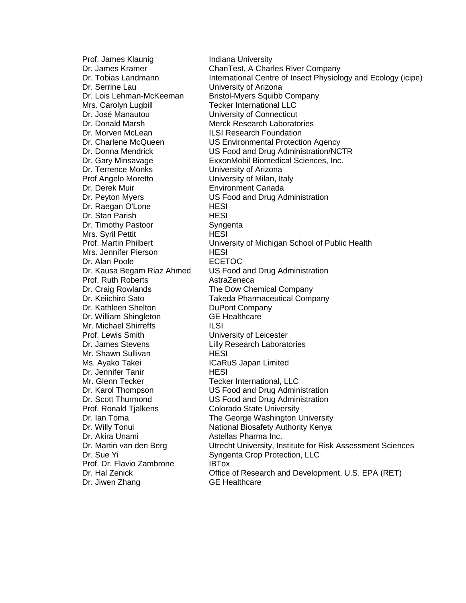Prof. James Klaunig **Indiana University** Dr. Serrine Lau University of Arizona Dr. Lois Lehman-McKeeman Bristol-Myers Squibb Company Mrs. Carolyn Lugbill **Tecker International LLC** Dr. José Manautou University of Connecticut Dr. Donald Marsh Merck Research Laboratories Dr. Morven McLean **ILSI Research Foundation** Dr. Terrence Monks University of Arizona Prof Angelo Moretto University of Milan, Italy Dr. Derek Muir **Environment Canada** Dr. Raegan O'Lone HESI Dr. Stan Parish **HESI** Dr. Timothy Pastoor Syngenta Mrs. Syril Pettit **HESI** Mrs. Jennifer Pierson HESI Dr. Alan Poole **ECETOC** Prof. Ruth Roberts **AstraZeneca** Dr. Craig Rowlands The Dow Chemical Company Dr. Kathleen Shelton DuPont Company Dr. William Shingleton GE Healthcare Mr. Michael Shirreffs **ILSI** Prof. Lewis Smith University of Leicester Dr. James Stevens **Lilly Research Laboratories** Mr. Shawn Sullivan **HESI** Ms. Ayako Takei **ICaRuS** Japan Limited Dr. Jennifer Tanir **HESI** Mr. Glenn Tecker Tecker International, LLC Prof. Ronald Tjalkens Colorado State University Dr. Akira Unami **Astellas Pharma Inc.**<br>Dr. Martin van den Berg **Auf Lucken Utrecht University**, In Prof. Dr. Flavio Zambrone **IBTox** Dr. Jiwen Zhang GE Healthcare

Dr. James Kramer ChanTest, A Charles River Company Dr. Tobias Landmann **International Centre of Insect Physiology and Ecology (icipe)** Dr. Charlene McQueen US Environmental Protection Agency Dr. Donna Mendrick US Food and Drug Administration/NCTR Dr. Gary Minsavage ExxonMobil Biomedical Sciences, Inc. Dr. Peyton Myers US Food and Drug Administration Prof. Martin Philbert University of Michigan School of Public Health Dr. Kausa Begam Riaz Ahmed US Food and Drug Administration Dr. Keiichiro Sato Takeda Pharmaceutical Company Dr. Karol Thompson US Food and Drug Administration Dr. Scott Thurmond US Food and Drug Administration Dr. Ian Toma The George Washington University Dr. Willy Tonui **National Biosafety Authority Kenya** Utrecht University, Institute for Risk Assessment Sciences Dr. Sue Yi Syngenta Crop Protection, LLC Dr. Hal Zenick Office of Research and Development, U.S. EPA (RET)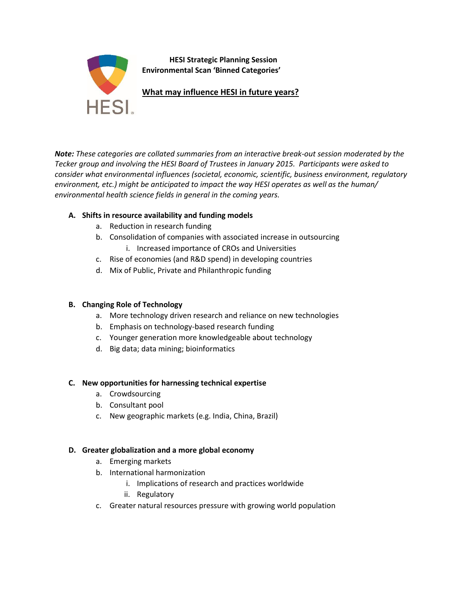

*Note: These categories are collated summaries from an interactive break-out session moderated by the Tecker group and involving the HESI Board of Trustees in January 2015. Participants were asked to consider what environmental influences (societal, economic, scientific, business environment, regulatory environment, etc.) might be anticipated to impact the way HESI operates as well as the human/ environmental health science fields in general in the coming years.* 

### **A. Shifts in resource availability and funding models**

- a. Reduction in research funding
- b. Consolidation of companies with associated increase in outsourcing
	- i. Increased importance of CROs and Universities
- c. Rise of economies (and R&D spend) in developing countries
- d. Mix of Public, Private and Philanthropic funding

#### **B. Changing Role of Technology**

- a. More technology driven research and reliance on new technologies
- b. Emphasis on technology-based research funding
- c. Younger generation more knowledgeable about technology
- d. Big data; data mining; bioinformatics

#### **C. New opportunities for harnessing technical expertise**

- a. Crowdsourcing
- b. Consultant pool
- c. New geographic markets (e.g. India, China, Brazil)

#### **D. Greater globalization and a more global economy**

- a. Emerging markets
- b. International harmonization
	- i. Implications of research and practices worldwide
	- ii. Regulatory
- c. Greater natural resources pressure with growing world population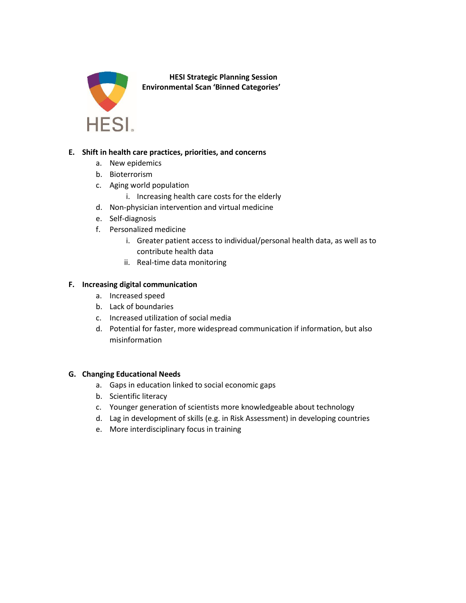

**HESI Strategic Planning Session Environmental Scan 'Binned Categories'**

#### **E. Shift in health care practices, priorities, and concerns**

- a. New epidemics
- b. Bioterrorism
- c. Aging world population
	- i. Increasing health care costs for the elderly
- d. Non-physician intervention and virtual medicine
- e. Self-diagnosis
- f. Personalized medicine
	- i. Greater patient access to individual/personal health data, as well as to contribute health data
	- ii. Real-time data monitoring

#### **F. Increasing digital communication**

- a. Increased speed
- b. Lack of boundaries
- c. Increased utilization of social media
- d. Potential for faster, more widespread communication if information, but also misinformation

#### **G. Changing Educational Needs**

- a. Gaps in education linked to social economic gaps
- b. Scientific literacy
- c. Younger generation of scientists more knowledgeable about technology
- d. Lag in development of skills (e.g. in Risk Assessment) in developing countries
- e. More interdisciplinary focus in training